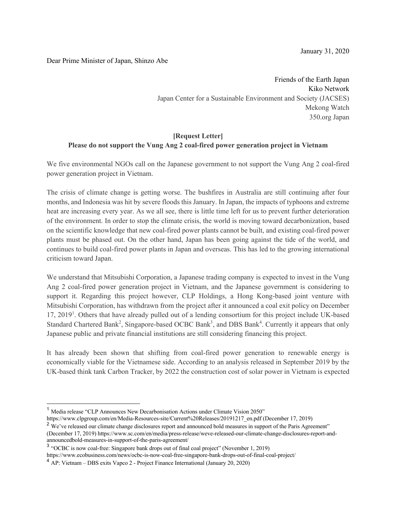January 31, 2020

## Dear Prime Minister of Japan, Shinzo Abe

Friends of the Earth Japan Kiko Network Japan Center for a Sustainable Environment and Society (JACSES) Mekong Watch 350.org Japan

## **[Request Letter] Please do not support the Vung Ang 2 coal-fired power generation project in Vietnam**

We five environmental NGOs call on the Japanese government to not support the Vung Ang 2 coal-fired power generation project in Vietnam.

The crisis of climate change is getting worse. The bushfires in Australia are still continuing after four months, and Indonesia was hit by severe floods this January. In Japan, the impacts of typhoons and extreme heat are increasing every year. As we all see, there is little time left for us to prevent further deterioration of the environment. In order to stop the climate crisis, the world is moving toward decarbonization, based on the scientific knowledge that new coal-fired power plants cannot be built, and existing coal-fired power plants must be phased out. On the other hand, Japan has been going against the tide of the world, and continues to build coal-fired power plants in Japan and overseas. This has led to the growing international criticism toward Japan.

We understand that Mitsubishi Corporation, a Japanese trading company is expected to invest in the Vung Ang 2 coal-fired power generation project in Vietnam, and the Japanese government is considering to support it. Regarding this project however, CLP Holdings, a Hong Kong-based joint venture with Mitsubishi Corporation, has withdrawn from the project after it announced a coal exit policy on December 17, 2019<sup>1</sup>. Others that have already pulled out of a lending consortium for this project include UK-based Standard Chartered Bank<sup>2</sup>, Singapore-based OCBC Bank<sup>3</sup>, and DBS Bank<sup>4</sup>. Currently it appears that only Japanese public and private financial institutions are still considering financing this project.

It has already been shown that shifting from coal-fired power generation to renewable energy is economically viable for the Vietnamese side. According to an analysis released in September 2019 by the UK-based think tank Carbon Tracker, by 2022 the construction cost of solar power in Vietnam is expected

https://www.clpgroup.com/en/Media-Resources-site/Current%20Releases/20191217\_en.pdf (December 17, 2019)

https://www.ecobusiness.com/news/ocbc-is-now-coal-free-singapore-bank-drops-out-of-final-coal-project/

<sup>&</sup>lt;sup>1</sup> Media release "CLP Announces New Decarbonisation Actions under Climate Vision 2050"

<sup>&</sup>lt;sup>2</sup> We've released our climate change disclosures report and announced bold measures in support of the Paris Agreement" (December 17, 2019) https://www.sc.com/en/media/press-release/weve-released-our-climate-change-disclosures-report-andannouncedbold-measures-in-support-of-the-paris-agreement/

<sup>3</sup> "OCBC is now coal-free: Singapore bank drops out of final coal project" (November 1, 2019)

<sup>4</sup> AP: Vietnam – DBS exits Vapco 2 - Project Finance International (January 20, 2020)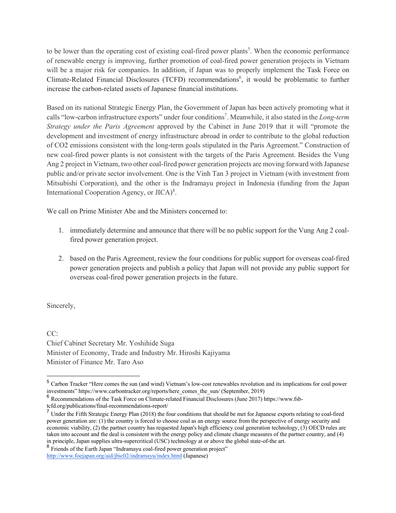to be lower than the operating cost of existing coal-fired power plants<sup>5</sup>. When the economic performance of renewable energy is improving, further promotion of coal-fired power generation projects in Vietnam will be a major risk for companies. In addition, if Japan was to properly implement the Task Force on Climate-Related Financial Disclosures (TCFD) recommendations<sup>6</sup>, it would be problematic to further increase the carbon-related assets of Japanese financial institutions.

Based on its national Strategic Energy Plan, the Government of Japan has been actively promoting what it calls "low-carbon infrastructure exports" under four conditions<sup>7</sup>. Meanwhile, it also stated in the *Long-term Strategy under the Paris Agreement* approved by the Cabinet in June 2019 that it will "promote the development and investment of energy infrastructure abroad in order to contribute to the global reduction of CO2 emissions consistent with the long-term goals stipulated in the Paris Agreement." Construction of new coal-fired power plants is not consistent with the targets of the Paris Agreement. Besides the Vung Ang 2 project in Vietnam, two other coal-fired power generation projects are moving forward with Japanese public and/or private sector involvement. One is the Vinh Tan 3 project in Vietnam (with investment from Mitsubishi Corporation), and the other is the Indramayu project in Indonesia (funding from the Japan International Cooperation Agency, or JICA)<sup>8</sup>.

We call on Prime Minister Abe and the Ministers concerned to:

- 1. immediately determine and announce that there will be no public support for the Vung Ang 2 coalfired power generation project.
- 2. based on the Paris Agreement, review the four conditions for public support for overseas coal-fired power generation projects and publish a policy that Japan will not provide any public support for overseas coal-fired power generation projects in the future.

Sincerely,

CC: Chief Cabinet Secretary Mr. Yoshihide Suga Minister of Economy, Trade and Industry Mr. Hiroshi Kajiyama Minister of Finance Mr. Taro Aso

<sup>8</sup> Friends of the Earth Japan "Indramayu coal-fired power generation project" http://www.foejapan.org/aid/jbic02/indramayu/index.html (Japanese)

<sup>&</sup>lt;sup>5</sup> Carbon Tracker "Here comes the sun (and wind) Vietnam's low-cost renewables revolution and its implications for coal power investments" https://www.carbontracker.org/reports/here\_comes\_the\_sun/ (September, 2019)

<sup>6</sup> Recommendations of the Task Force on Climate-related Financial Disclosures (June 2017) https://www.fsb-

tcfd.org/publications/final-recommendations-report/

<sup>&</sup>lt;sup>7</sup> Under the Fifth Strategic Energy Plan (2018) the four conditions that should be met for Japanese exports relating to coal-fired power generation are: (1) the country is forced to choose coal as an energy source from the perspective of energy security and economic viability, (2) the partner country has requested Japan's high efficiency coal generation technology, (3) OECD rules are taken into account and the deal is consistent with the energy policy and climate change measures of the partner country, and (4) in principle, Japan supplies ultra-supercritical (USC) technology at or above the global state-of-the art.